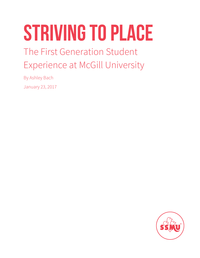# **Striving to Place**

# The First Generation Student Experience at McGill University

By Ashley Bach

January 23, 2017

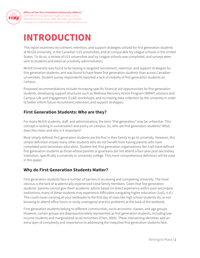

# **INTRODUCTION**

This report examines recruitment, retention, and support strategies utilized for first generation students at McGill University, in the Canadian U15 universities, and at comparable Ivy League schools in the United States. To do so, a review of U15 universities and Ivy League schools was completed, and surveys were sent to students and external university administrators.

McGill University was found to be lacking in targeted recruitment, retention, and support strategies for first generation students, and was found to have fewer first generation students than across Canadian universities. Student survey respondents reported a lack of visibility of first generation students on campus.

Proposed recommendations include increasing specific financial aid opportunities for first generation students, developing support structures such as Wellness Recovery Action Program (WRAP) sessions and Campus Life and Engagement (CL&E) workshops, and increasing data collection by the university in order to better inform future recruitment, retention, and support strategies.

#### **First Generation Students: Who are they?**

For many McGill students, staff, and administrators, the term "first generation" may be unfamiliar. This concept is lacking in conversation and policy on campus. So, who are first generation students? What does this mean and why is it important?

Most simply defined, first generation students are the first in their family to go to university. However, this simple definition misses many other students who do not benefit from having parents who have completed post-secondary education. Student-led, first generation organizations like 1vyG have defined first generation students as those whose parents or guardians did not attend a four-year post-secondary institution, specifically a university or university-college. This more comprehensive definition will be used in this paper.

#### **Why do First Generation Students Matter?**

First generation students face a number of barriers in accessing and completing university. The most obvious is the lack of academically experienced close family members. Given that first generation students' parents cannot give them academic advice based on direct experience within post-secondary institutions, many of these students may experience difficulties navigating higher education (1vyG, n.d.). This could mean carrying all your textbooks to the first day of class like high school students do, or not knowing to attend office hours or study unassigned practice problems at the back of the textbook.

First generation students belong to different communities, socio-economic classes, and age groups. However, certain groups are disproportionately represented as first generation students, including lowincome students and marginalized racial minorities (Chen, 2005). These intersecting identities add an extra layer of complexity and importance to addressing the inequities first generation students face.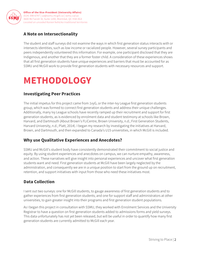

#### **A Note on Intersectionality**

The student and staff surveys did not examine the ways in which first generation status interacts with or intersects identities, such as low income or racialized people. However, several survey participants and peers independently volunteered this information. For example, one participant disclosed that they are Indigenous, and another that they are a former foster child. A consideration of these experiences shows that all first generation students have unique experiences and barriers that must be accounted for as SSMU and McGill work to provide first generation students with necessary resources and support.

### **METHODOLOGY**

#### **Investigating Peer Practices**

The initial impetus for this project came from 1vyG, or the inter-Ivy League first generation students group, which was formed to connect first generation students and address their unique challenges. Additionally, many Ivy League schools have recently ramped up their recruitment and support for first generation students, as is evidenced by enrolment data and student testimony at schools like Brown, Harvard, and Dartmouth (About Brown's FLiCentre, Brown University, n.d.; First Generation Students, Harvard University, n.d.; Platt, 2014). I began my research by investigating the initiatives at Harvard, Brown, and Dartmouth, and then expanded to Canada's U15 universities, in which McGill is included.

#### **Why use Qualitative Experiences and Anecdotes?**

SSMU and McGill's student body have consistently demonstrated their commitment to social justice and equity. By using student experiences and anecdotes on campus, we can nurture empathy, awareness, and action. These narratives will give insight into personal experiences and uncover what first generation students want and need. First generation students at McGill have been largely neglected by the administration, and consequently we are in a unique position to start from the ground up on recruitment, retention, and support initiatives with input from those who need these initiatives most.

#### **Data Collection**

I sent out two surveys: one for McGill students, to gauge awareness of first generation students and to gather experiences from first generation students; and one for support staff and administrators at other universities, to gain greater insight into their programs and first generation student populations.

As I began this project in consultation with SSMU, they worked with Enrolment Services and the University Registrar to have a question on first generation students added to admissions forms and yield surveys. This data unfortunately has not yet been released, but will be useful in order to quantify how many first generation students are currently admitted to McGill each year.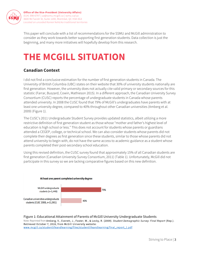

This paper will conclude with a list of recommendations for the SSMU and McGill administration to consider as they work towards better supporting first generation students. Data collection is just the beginning, and many more initiatives will hopefully develop from this research.

# **THE MCGILL SITUATION**

#### **Canadian Context**

I did not find a conclusive estimation for the number of first generation students in Canada. The University of British Columbia (UBC) states on their website that 30% of university students nationally are first generation. However, the university does not actually cite valid primary or secondary sources for this statistic (Farrar, Buszard, Cowin, Mathieson 2015). In a different approach, the Canadian University Survey Consortium (CUSC) reports the percentage of undergraduate students in Canada whose parents attended university. In 2008 the CUSC found that 79% of McGill's undergraduates have parents with at least one university degree, compared to 40% throughout other Canadian universities (Amberg et al. 2009) (Figure 1).

The CUSC's 2011 Undergraduate Student Survey provides updated statistics, albeit utilizing a more restrictive definition of first generation student as those whose "mother and father's highest level of education is high school or less." This does not account for students whose parents or guardians attended a CEGEP, college, or technical school. We can also consider students whose parents did not complete their degrees as first generation since these students, similar to those whose parents did not attend university to begin with, do not have the same access to academic guidance as a student whose parents completed their post-secondary school education.

Using this revised definition, the CUSC survey found that approximately 15% of all Canadian students are first generation (Canadian University Survey Consortium, 2011) (Table 1). Unfortunately, McGill did not participate in this survey so we are lacking comparative figures based on this new definition.



Figure 1: Educational Attainment of Parents of McGill University Undergraduate Students Note: Reprinted from Amberg, V., Everett, J., Foster, W., & Lecky, R. (2009). *Student Demographic Survey: Final Report* (Rep.). Retrieved October 7, 2016, from McGill University website: www.mcgill.ca/studentlifeandlearning/files/studentlifeandlearning/final\_report\_1.pdf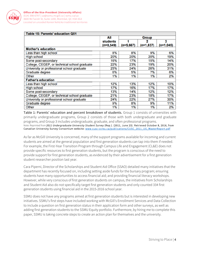

| <b>Table 15: Parents' education Q51</b>      |              |             |             |             |
|----------------------------------------------|--------------|-------------|-------------|-------------|
|                                              | All          | Group       |             |             |
|                                              | students     |             |             | 3           |
|                                              | $(n=8, 549)$ | $(n=5,667)$ | $(n=1,837)$ | $(n=1,045)$ |
| <b>Mother's education</b>                    |              |             |             |             |
| Less than high school                        | 8%           | 8%          | 9%          | 6%          |
| <b>High school</b>                           | 20%          | 20%         | 20%         | 19%         |
| Some post-secondary                          | 16%          | 17%         | 15%         | 14%         |
| College, CEGEP, or technical school graduate | 22%          | 23%         | 19%         | 20%         |
| University or professional school graduate   | 25%          | 24%         | 26%         | 31%         |
| Graduate degree                              | 6%           | 5%          | 7%          | 6%          |
| Other                                        | 1%           | 1%          | 1%          | 2%          |
| <b>Father's education</b>                    |              |             |             |             |
| Less than high school                        | 12%          | 13%         | 12%         | 10%         |
| <b>High school</b>                           | 17%          | 16%         | 17%         | 17%         |
| Some post-secondary                          | 13%          | 14%         | 12%         | 12%         |
| College, CEGEP, or technical school graduate | 21%          | 23%         | 18%         | 17%         |
| University or professional school graduate   | 24%          | 22%         | 27%         | 30%         |
| Graduate degree                              | 9%           | 8%          | 9%          | 11%         |
| Other                                        | 1%           | 1%          | 1%          | 2%          |

Table 1: Parents' education and percent breakdown of students. Group 1 consists of universities with primarily undergraduate programs, Group 2 consists of those with both undergraduate and graduate programs, and Group 3 includes undergraduate, graduate, and often professional programs. Note: Reprinted from *2011 Undergraduate University Student Survey* (Rep.). (2011, June 23). Retrieved October 8, 2016, from Canadian University Survey Consortium website: www.cusc-ccreu.ca/publications/CUSC\_2011\_UG\_MasterReport.pdf

As far as McGill University is concerned, many of the support programs available for incoming and current students are aimed at the general population and first generation students can tap into them if needed. For example, the First-Year Transition Program through Campus Life and Engagement (CL&E) does not provide specific resources to first generation students, but the program is conscious of the need to provide support for first generation students, as evidenced by their advertisement for a first generation student researcher position last year.

Cara Piperni, Director of the Scholarships and Student Aid Office (SSAO) detailed many initiatives that the department has recently focused on, including setting aside funds for the bursary program; ensuring students have many opportunities to access financial aid; and providing financial literacy workshops. However, while very conscious of first generation students on campus, the initiatives from Scholarships and Student Aid also do not specifically target first generation students and only counted 334 first generation students using financial aid in the 2015-2016 school year.

SSMU does not have any programs aimed at first generation students but is interested in developing new initiatives. SSMU's first steps have included working with McGill's Enrollment Services and Data Collection to include a question on first generation status in their application form and other surveys, as well as adding first generation students to the SSMU Equity portfolio. Furthermore, by hiring me to complete this paper, SSMU is taking concrete steps to create an action plan for themselves and the university.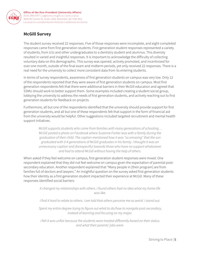

#### **McGill Survey**

The student survey received 22 responses. Five of those responses were incomplete, and eight completed responses came from first generation students. First generation student responses represented a variety of students, from U1s and other undergraduates to a dentistry student and alumnus. This diversity resulted in varied and insightful responses. It is important to acknowledge the difficulty of collecting voluntary data on this demographic. This survey was opened, actively promoted, and incentivized for over one month, outside of the final exam and midterm periods, yet only received 22 responses. There is a real need for the university to collect more consistent data from its entering students.

In terms of survey respondents, awareness of first generation students on campus was very low. Only 12 of the respondents reported that they were aware of first generation students on campus. Most first generation respondents felt that there were additional barriers in their McGill education and agreed that SSMU should work to better support them. Some examples included creating a student social group, lobbying the university to address the needs of first generation students, and actively reaching out to first generation students for feedback on projects.

Furthermore, all but one of the respondents identified that the university should provide support for first generation students, and all but one of these respondents felt that support in the form of financial aid from the university would be helpful. Other suggestions included targeted recruitment and mental health support initiatives.

*McGill supports students who come from families with many generations of schooling… McGill posted a photo on Facebook where Suzanne Fortier was with a family during the graduation of their child. The caption mentioned how it was "so amazing" that the son graduated with 3-4 generations of McGill graduates in his family. I thought it was an unnecessary caption and disrespectful towards those who have no support whatsoever and had to attend McGill without having the help of others.*

When asked if they feel welcome on campus, first generation student responses were mixed. One respondent explained that they did not feel welcome on campus given the expectation of parental postsecondary education. Another respondent explained that "Many people in [their program] are from families full of doctors and lawyers." An insightful question on the survey asked first generation students how their identity as a first generation student impacted their experience at McGill. Many of these responses identified social barriers:

> *It changed my relationships with others. I found others had no idea what my home life was like.*

> *I find it hard to relate to others. I am told that others perceive me as weird. I stand out.*

*Spent my entire degree trying to figure out what to do/how to navigate post-secondary, instead of learning and focusing on my major.*

*I felt it was unfair because the students were treated differently based on their status and what their parents' jobs were.*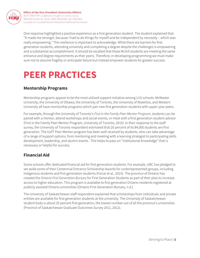

One response highlighted a positive experience as a first generation student. The student explained that "It made me stronger, because I had to do things for myself and be independent by necessity – which was really empowering." This resilience is important to acknowledge. While there are barriers for first generation students, attending university and completing a degree despite the challenges is empowering and a substantial accomplishment. It should be recalled that these McGill students are meeting the same entrance and degree requirements as their peers. Therefore, in developing programming we must make sure not to assume fragility or anticipate failure but instead empower students for greater success.

# **PEER PRACTICES**

#### **Mentorship Programs**

Mentorship programs appear to be the most utilized support initiative among U15 schools. McMaster University, the University of Ottawa, the University of Toronto, the University of Waterloo, and Western University all have mentorship programs which pair new first generation students with upper-year peers.

For example, through the University of Toronto's *First in the Family Peer-Mentor Program*, students can be paired with a mentor, attend workshops and social events, or meet with a first generation student advisor (First in the Family Peer-Mentor Program, University of Toronto, 2015). In their response to the staff survey, the University of Toronto respondent estimated that 20 percent of its 84,000 students are first generation. The UofT Peer-Mentor program has been well received by students, who can take advantage of a range of support options, from mentoring and meeting with a learning strategist to participating skills development, leadership, and alumni events. This helps to pass on "institutional knowledge" that is necessary or helpful for success.

#### **Financial Aid**

Some schools offer dedicated financial aid for first generation students. For example, UBC has pledged to set aside some of their Centennial Entrance Scholarship Awards for underrepresented groups, including Indigenous students and first generation students (Farrar et al., 2015). The province of Ontario has created the *Ontario First Generation Bursary* for First Generation Students as part of their plan to increase access to higher education. This program is available to first generation Ontario residents registered at publicly assisted Ontario universities (Ontario First Generation Bursary, n.d.).

The University of Saskatchewan staff respondent explained that scholarships from individuals and private entities are available for first generation students at the university. The University of Saskatchewan student body is about 20 percent first generation, the lowest number out of all the province's universities (Province of Saskatchewan Graduate Outcomes Survey 2011, 2012).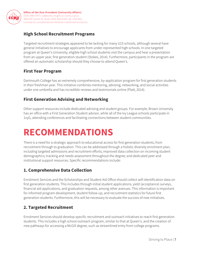

#### **High School Recruitment Programs**

Targeted recruitment strategies appeared to be lacking for many U15 schools, although several have general initiatives to encourage applicants from under-represented high schools. In one targeted program at Queen's University, eligible high school students visit the campus and hear a presentation from an upper year, first generation student (Stokes, 2014). Furthermore, participants in the program are offered an automatic scholarship should they choose to attend Queen's.

#### **First Year Program**

Dartmouth College has an extremely comprehensive, by-application program for first generation students in their freshman year. This initiative combines mentoring, advising, networking, and social activities under one umbrella and has incredible reviews and testimonials online (Platt, 2014).

#### **First Generation Advising and Networking**

Other support resources include dedicated advising and student groups. For example, Brown University has an office with a First Generation Student advisor, while all of the Ivy League schools participate in 1vyG, attending conferences and facilitating connections between student communities.

# **RECOMMENDATIONS**

There is a need for a strategic approach to educational access for first generation students, from recruitment through to graduation. This can be addressed through a holistic diversity enrolment plan, including targeted admissions and recruitment efforts; improved data collection on incoming student demographics; tracking and needs assessment throughout the degree; and dedicated peer and institutional support resources. Specific recommendations include:

#### **1. Comprehensive Data Collection**

Enrolment Services and the Scholarships and Student Aid Office should collect self-identification data on first generation students. This includes through initial student applications, yield (acceptance) surveys, financial aid applications, and graduation requests, among other avenues. This information is important for informed program development, student follow-up, and recruitment statistics for future first generation students. Furthermore, this will be necessary to evaluate the success of new initiatives.

#### **2. Targeted Recruitment**

Enrolment Services should develop specific recruitment and outreach initiatives to reach first generation students. This includes a high school outreach program, similar to that at Queen's, and the creation of new pathways for accessing a McGill degree, such as streamlined entry from college programs.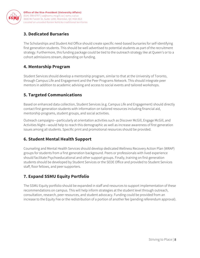

#### **3. Dedicated Bursaries**

The Scholarships and Student Aid Office should create specific need-based bursaries for self-identifying first generation students. This should be well advertised to potential students as part of the recruitment strategy. Furthermore, this funding package could be tied to the outreach strategy like at Queen's or to a cohort admissions stream, depending on funding.

#### **4. Mentorship Program**

Student Services should develop a mentorship program, similar to that at the University of Toronto, through Campus Life and Engagement and the Peer Programs Network. This should integrate peer mentors in addition to academic advising and access to social events and tailored workshops.

#### **5. Targeted Communications**

Based on enhanced data collection, Student Services (e.g. Campus Life and Engagement) should directly contact first generation students with information on tailored resources including financial aid, mentorship programs, student groups, and social activities.

Outreach campaigns—particularly at orientation activities such as Discover McGill, Engage McGill, and Activities Night—would help to reach this demographic as well as increase awareness of first generation issues among all students. Specific print and promotional resources should be provided.

#### **6. Student Mental Health Support**

Counseling and Mental Health Services should develop dedicated Wellness Recovery Action Plan (WRAP) groups for students from a first generation background. Peers or professionals with lived experience should facilitate Psychoeducational and other support groups. Finally, training on first generation students should be developed by Student Services or the SEDE Office and provided to Student Services staff, floor fellows, and peer supporters.

#### **7. Expand SSMU Equity Portfolio**

The SSMU Equity portfolio should be expanded in staff and resources to support implementation of these recommendations on campus. This will help inform strategies at the student level through outreach, consultation, research, peer resources, and student advocacy. Funding could be provided from an increase to the Equity Fee or the redistribution of a portion of another fee (pending referendum approval).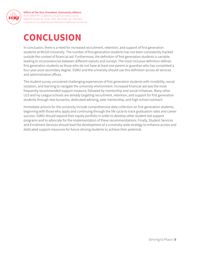

# **CONCLUSION**

In conclusion, there is a need for increased recruitment, retention, and support of first generation students at McGill University. The number of first generation students has not been consistently tracked outside the context of financial aid. Furthermore, the definition of first generation students is variable, leading to inconsistencies between different reports and surveys. The most inclusive definition defines first generation students as those who do not have at least one parent or guardian who has completed a four-year post-secondary degree. SSMU and the university should use this definition across all services and administrative offices.

The student survey uncovered challenging experiences of first generation students with invisibility, social isolation, and learning to navigate the university environment. Increased financial aid was the most frequently recommended support measure, followed by mentorship and social initiatives. Many other U15 and Ivy League schools are already targeting recruitment, retention, and support for first generation students through new bursaries, dedicated advising, peer mentorship, and high school outreach.

Immediate actions for the university include comprehensive data collection on first generation students, beginning with those who apply and continuing through the life cycle to track graduation rates and career success. SSMU should expand their equity portfolio in order to develop other student-led support programs and to advocate for the implementation of these recommendations. Finally, Student Services and Enrolment Services should lead the development of a university-wide strategy to enhance access and dedicated support resources for future striving students to achieve their potential.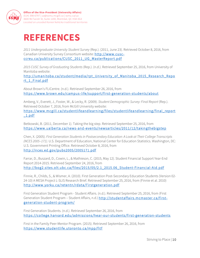

# **REFERENCES**

*2011 Undergraduate University Student Survey* (Rep.). (2011, June 23). Retrieved October 8, 2016, from Canadian University Survey Consortium website: http://www.cuscccreu.ca/publications/CUSC\_2011\_UG\_MasterReport.pdf

*2015 CUSC Survey of Graduating Students* (Rep.). (n.d.). Retrieved September 25, 2016, from University of Manitoba website:

http://umanitoba.ca/student/media/rpt\_University\_of\_Manitoba\_2015\_Research\_Repo rt\_1\_Final.pdf

About Brown's FLiCentre. (n.d.). Retrieved September 26, 2016, from https://www.brown.edu/campus-life/support/first-generation-students/about

Amberg, V., Everett, J., Foster, W., & Lecky, R. (2009). *Student Demographic Survey: Final Report* (Rep.). Retrieved October 7, 2016, from McGill University website:

https://www.mcgill.ca/studentlifeandlearning/files/studentlifeandlearning/final\_report  $\_1.pdf$ 

Betkowski, B. (2011, December 1). Taking the big step. Retrieved September 25, 2016, from https://www.ualberta.ca/news-and-events/newsarticles/2011/12/takingthebigstep

Chen, X. (2005). *First Generation Students in Postsecondary Education: A Look at Their College Transcripts (NCES 2005–171)*. U.S. Department of Education, National Center for Education Statistics. Washington, DC: U.S. Government Printing Office. Retrieved October 8, 2016, from http://nces.ed.gov/pubs2005/2005171.pdf

Farrar, D., Buszard, D., Cowin, L., & Mathieson, C. (2015, May 12). Student Financial Support Year-End Report 2014-2015. Retrieved September 24, 2016, from http://bog2.sites.olt.ubc.ca/files/2015/05/2.1\_2015.06\_Student-Financial-Aid.pdf

Finnie, R., Childs, S., & Wismer, A. (2010). First Generation Post-Secondary Education Students (Version 02- 24-10) A MESA Project L-SLIS Research Brief. Retrieved September 25, 2016, from (Finnie et al. 2010) http://www.yorku.ca/retentn/rdata/Firstgeneration.pdf

First Generation Student Program - Student Affairs. (n.d.). Retrieved September 25, 2016, from (First Generation Student Program - Student Affairs, n.d.) http://studentaffairs.mcmaster.ca/firstgeneration-student-program/

First Generation Students. (n.d.). Retrieved September 26, 2016, from https://college.harvard.edu/admissions/hear-our-students/first-generation-students

First in the Family Peer-Mentor Program. (2015). Retrieved September 26, 2016, from https://www.studentlife.utoronto.ca/mpp/fitf